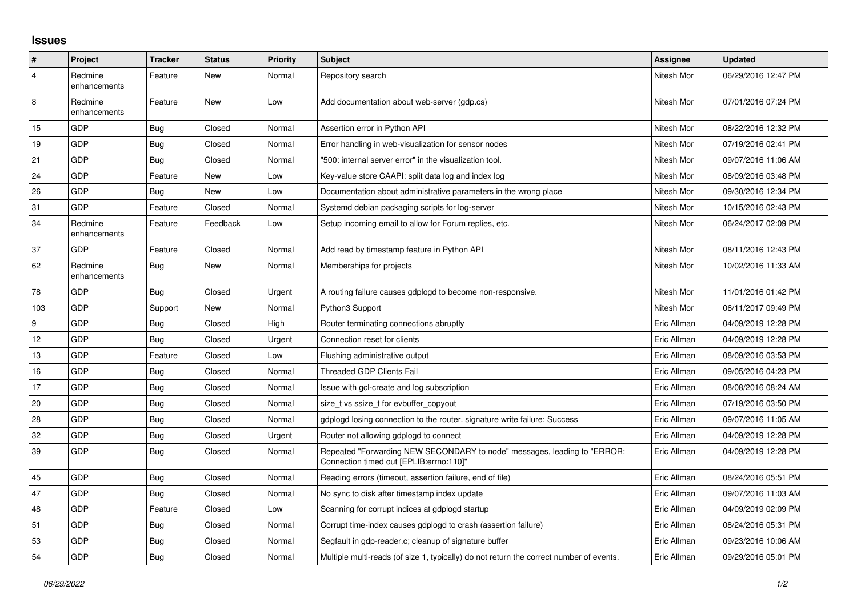## **Issues**

| $\vert$ #      | Project                 | <b>Tracker</b> | <b>Status</b> | <b>Priority</b> | <b>Subject</b>                                                                                                      | Assignee    | <b>Updated</b>      |
|----------------|-------------------------|----------------|---------------|-----------------|---------------------------------------------------------------------------------------------------------------------|-------------|---------------------|
| $\overline{4}$ | Redmine<br>enhancements | Feature        | New           | Normal          | Repository search                                                                                                   | Nitesh Mor  | 06/29/2016 12:47 PM |
| 8              | Redmine<br>enhancements | Feature        | New           | Low             | Add documentation about web-server (gdp.cs)                                                                         | Nitesh Mor  | 07/01/2016 07:24 PM |
| 15             | GDP                     | Bug            | Closed        | Normal          | Assertion error in Python API                                                                                       | Nitesh Mor  | 08/22/2016 12:32 PM |
| 19             | GDP                     | Bug            | Closed        | Normal          | Error handling in web-visualization for sensor nodes                                                                | Nitesh Mor  | 07/19/2016 02:41 PM |
| 21             | GDP                     | <b>Bug</b>     | Closed        | Normal          | "500: internal server error" in the visualization tool.                                                             | Nitesh Mor  | 09/07/2016 11:06 AM |
| 24             | GDP                     | Feature        | New           | Low             | Key-value store CAAPI: split data log and index log                                                                 | Nitesh Mor  | 08/09/2016 03:48 PM |
| 26             | GDP                     | <b>Bug</b>     | New           | Low             | Documentation about administrative parameters in the wrong place                                                    | Nitesh Mor  | 09/30/2016 12:34 PM |
| 31             | GDP                     | Feature        | Closed        | Normal          | Systemd debian packaging scripts for log-server                                                                     | Nitesh Mor  | 10/15/2016 02:43 PM |
| 34             | Redmine<br>enhancements | Feature        | Feedback      | Low             | Setup incoming email to allow for Forum replies, etc.                                                               | Nitesh Mor  | 06/24/2017 02:09 PM |
| 37             | GDP                     | Feature        | Closed        | Normal          | Add read by timestamp feature in Python API                                                                         | Nitesh Mor  | 08/11/2016 12:43 PM |
| 62             | Redmine<br>enhancements | Bug            | New           | Normal          | Memberships for projects                                                                                            | Nitesh Mor  | 10/02/2016 11:33 AM |
| 78             | GDP                     | Bug            | Closed        | Urgent          | A routing failure causes gdplogd to become non-responsive.                                                          | Nitesh Mor  | 11/01/2016 01:42 PM |
| 103            | GDP                     | Support        | New           | Normal          | Python3 Support                                                                                                     | Nitesh Mor  | 06/11/2017 09:49 PM |
| 9              | GDP                     | Bug            | Closed        | High            | Router terminating connections abruptly                                                                             | Eric Allman | 04/09/2019 12:28 PM |
| 12             | GDP                     | Bug            | Closed        | Urgent          | Connection reset for clients                                                                                        | Eric Allman | 04/09/2019 12:28 PM |
| 13             | GDP                     | Feature        | Closed        | Low             | Flushing administrative output                                                                                      | Eric Allman | 08/09/2016 03:53 PM |
| 16             | GDP                     | Bug            | Closed        | Normal          | <b>Threaded GDP Clients Fail</b>                                                                                    | Eric Allman | 09/05/2016 04:23 PM |
| 17             | GDP                     | <b>Bug</b>     | Closed        | Normal          | Issue with gcl-create and log subscription                                                                          | Eric Allman | 08/08/2016 08:24 AM |
| 20             | GDP                     | Bug            | Closed        | Normal          | size t vs ssize t for evbuffer copyout                                                                              | Eric Allman | 07/19/2016 03:50 PM |
| 28             | GDP                     | Bug            | Closed        | Normal          | gdplogd losing connection to the router, signature write failure: Success                                           | Eric Allman | 09/07/2016 11:05 AM |
| 32             | GDP                     | Bug            | Closed        | Urgent          | Router not allowing gdplogd to connect                                                                              | Eric Allman | 04/09/2019 12:28 PM |
| 39             | <b>GDP</b>              | <b>Bug</b>     | Closed        | Normal          | Repeated "Forwarding NEW SECONDARY to node" messages, leading to "ERROR:<br>Connection timed out [EPLIB:errno:110]" | Eric Allman | 04/09/2019 12:28 PM |
| 45             | GDP                     | Bug            | Closed        | Normal          | Reading errors (timeout, assertion failure, end of file)                                                            | Eric Allman | 08/24/2016 05:51 PM |
| 47             | GDP                     | <b>Bug</b>     | Closed        | Normal          | No sync to disk after timestamp index update                                                                        | Eric Allman | 09/07/2016 11:03 AM |
| 48             | GDP                     | Feature        | Closed        | Low             | Scanning for corrupt indices at gdplogd startup                                                                     | Eric Allman | 04/09/2019 02:09 PM |
| 51             | GDP                     | Bug            | Closed        | Normal          | Corrupt time-index causes gdplogd to crash (assertion failure)                                                      | Eric Allman | 08/24/2016 05:31 PM |
| 53             | GDP                     | Bug            | Closed        | Normal          | Segfault in gdp-reader.c; cleanup of signature buffer                                                               | Eric Allman | 09/23/2016 10:06 AM |
| 54             | GDP                     | <b>Bug</b>     | Closed        | Normal          | Multiple multi-reads (of size 1, typically) do not return the correct number of events.                             | Eric Allman | 09/29/2016 05:01 PM |